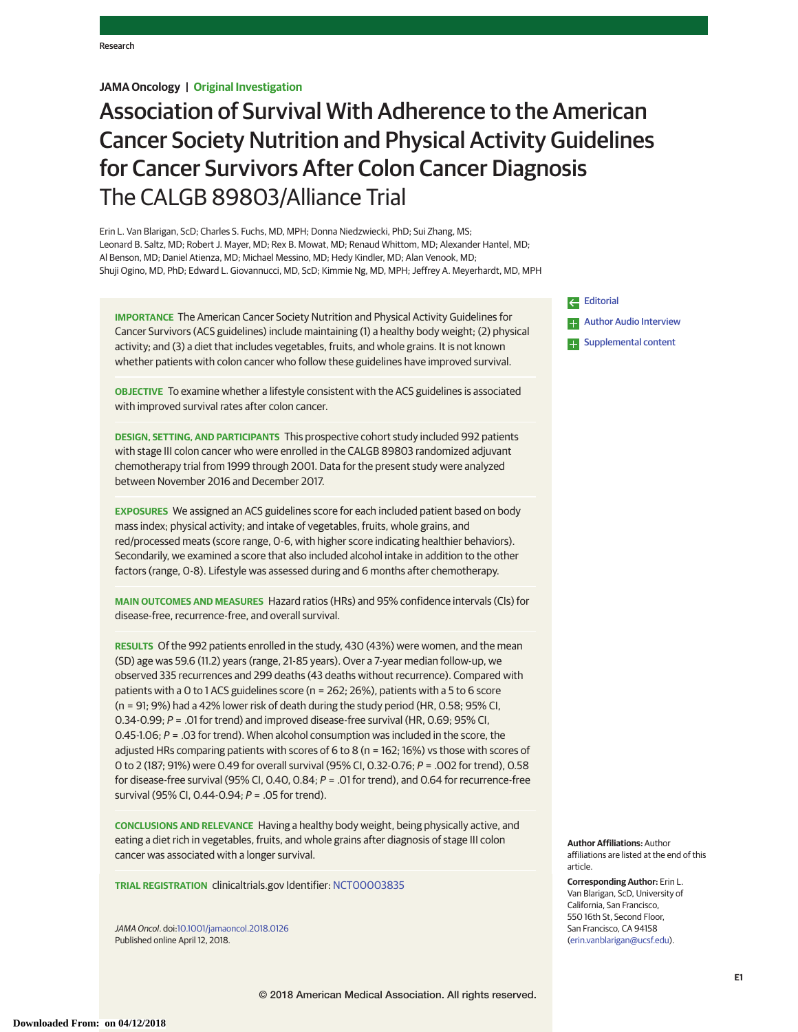# **JAMA Oncology | Original Investigation**

# Association of Survival With Adherence to the American Cancer Society Nutrition and Physical Activity Guidelines for Cancer Survivors After Colon Cancer Diagnosis The CALGB 89803/Alliance Trial

Erin L. Van Blarigan, ScD; Charles S. Fuchs, MD, MPH; Donna Niedzwiecki, PhD; Sui Zhang, MS; Leonard B. Saltz, MD; Robert J. Mayer, MD; Rex B. Mowat, MD; Renaud Whittom, MD; Alexander Hantel, MD; Al Benson, MD; Daniel Atienza, MD; Michael Messino, MD; Hedy Kindler, MD; Alan Venook, MD; Shuji Ogino, MD, PhD; Edward L. Giovannucci, MD, ScD; Kimmie Ng, MD, MPH; Jeffrey A. Meyerhardt, MD, MPH

**IMPORTANCE** The American Cancer Society Nutrition and Physical Activity Guidelines for Cancer Survivors (ACS guidelines) include maintaining (1) a healthy body weight; (2) physical activity; and (3) a diet that includes vegetables, fruits, and whole grains. It is not known whether patients with colon cancer who follow these guidelines have improved survival.

**OBJECTIVE** To examine whether a lifestyle consistent with the ACS guidelines is associated with improved survival rates after colon cancer.

**DESIGN, SETTING, AND PARTICIPANTS** This prospective cohort study included 992 patients with stage III colon cancer who were enrolled in the CALGB 89803 randomized adjuvant chemotherapy trial from 1999 through 2001. Data for the present study were analyzed between November 2016 and December 2017.

**EXPOSURES** We assigned an ACS guidelines score for each included patient based on body mass index; physical activity; and intake of vegetables, fruits, whole grains, and red/processed meats (score range, 0-6, with higher score indicating healthier behaviors). Secondarily, we examined a score that also included alcohol intake in addition to the other factors (range, 0-8). Lifestyle was assessed during and 6 months after chemotherapy.

**MAIN OUTCOMES AND MEASURES** Hazard ratios (HRs) and 95% confidence intervals (CIs) for disease-free, recurrence-free, and overall survival.

**RESULTS** Of the 992 patients enrolled in the study, 430 (43%) were women, and the mean (SD) age was 59.6 (11.2) years (range, 21-85 years). Over a 7-year median follow-up, we observed 335 recurrences and 299 deaths (43 deaths without recurrence). Compared with patients with a 0 to 1 ACS guidelines score (n = 262; 26%), patients with a 5 to 6 score (n = 91; 9%) had a 42% lower risk of death during the study period (HR, 0.58; 95% CI, 0.34-0.99;  $P = 0.01$  for trend) and improved disease-free survival (HR, 0.69; 95% CI, 0.45-1.06;  $P = 0.03$  for trend). When alcohol consumption was included in the score, the adjusted HRs comparing patients with scores of 6 to 8 (n = 162; 16%) vs those with scores of 0 to 2 (187; 91%) were 0.49 for overall survival (95% CI, 0.32-0.76; P = .002 for trend), 0.58 for disease-free survival (95% CI, 0.40, 0.84; P = .01 for trend), and 0.64 for recurrence-free survival (95% CI, 0.44-0.94;  $P = .05$  for trend).

**CONCLUSIONS AND RELEVANCE** Having a healthy body weight, being physically active, and eating a diet rich in vegetables, fruits, and whole grains after diagnosis of stage III colon cancer was associated with a longer survival.

**TRIAL REGISTRATION** clinicaltrials.gov Identifier: [NCT00003835](https://clinicaltrials.gov/show/NCT00003835)

JAMA Oncol. doi[:10.1001/jamaoncol.2018.0126](https://jama.jamanetwork.com/article.aspx?doi=10.1001/jamaoncol.2018.0126&utm_campaign=articlePDF%26utm_medium=articlePDFlink%26utm_source=articlePDF%26utm_content=jamaoncol.2018.0126) Published online April 12, 2018.



**Author Affiliations:** Author affiliations are listed at the end of this article.

**Corresponding Author:** Erin L. Van Blarigan, ScD, University of California, San Francisco, 550 16th St, Second Floor, San Francisco, CA 94158 [\(erin.vanblarigan@ucsf.edu\)](mailto:erin.vanblarigan@ucsf.edu).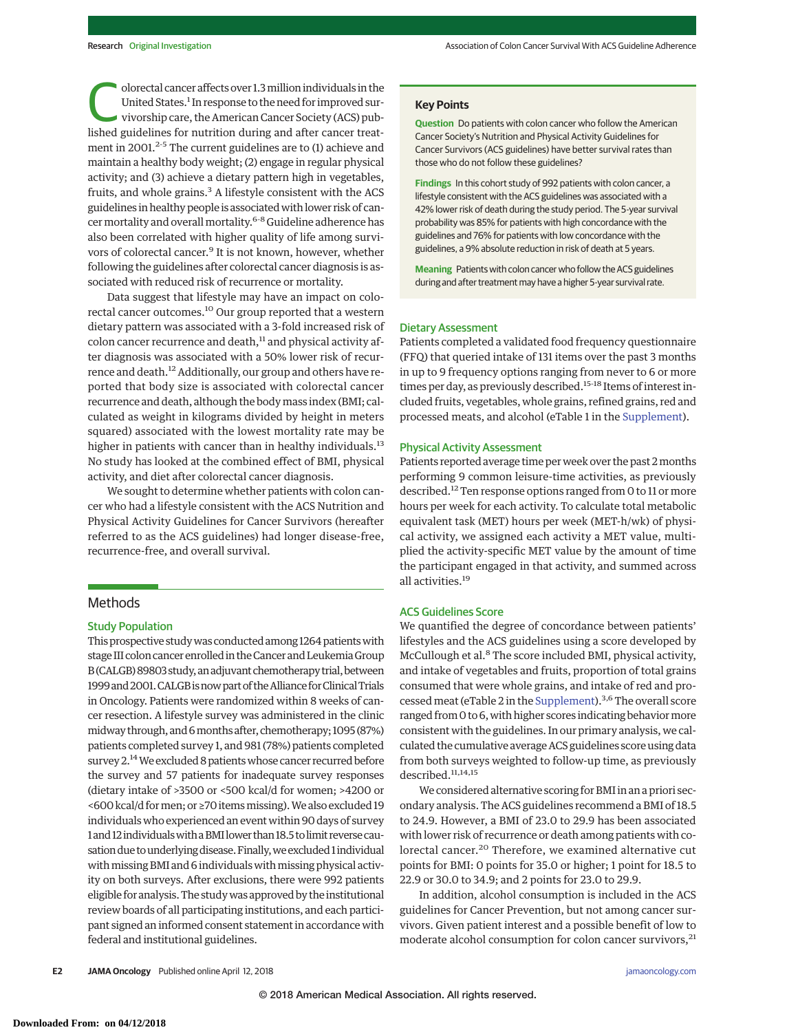olorectal cancer affects over 1.3 million individuals in the<br>United States.<sup>1</sup> In response to the need for improved sur-<br>vivorship care, the American Cancer Society (ACS) pub-<br>lished midelines for putrition during and afte United States.<sup>1</sup> In response to the need for improved surlished guidelines for nutrition during and after cancer treatment in 2001.<sup>2-5</sup> The current guidelines are to  $(1)$  achieve and maintain a healthy body weight; (2) engage in regular physical activity; and (3) achieve a dietary pattern high in vegetables, fruits, and whole grains.<sup>3</sup> A lifestyle consistent with the ACS guidelines in healthy people is associated with lower risk of cancer mortality and overall mortality.<sup>6-8</sup> Guideline adherence has also been correlated with higher quality of life among survivors of colorectal cancer.<sup>9</sup> It is not known, however, whether following the guidelines after colorectal cancer diagnosis is associated with reduced risk of recurrence or mortality.

Data suggest that lifestyle may have an impact on colorectal cancer outcomes.<sup>10</sup> Our group reported that a western dietary pattern was associated with a 3-fold increased risk of colon cancer recurrence and death,<sup>11</sup> and physical activity after diagnosis was associated with a 50% lower risk of recurrence and death.<sup>12</sup> Additionally, our group and others have reported that body size is associated with colorectal cancer recurrence and death, although the bodymass index (BMI; calculated as weight in kilograms divided by height in meters squared) associated with the lowest mortality rate may be higher in patients with cancer than in healthy individuals.<sup>13</sup> No study has looked at the combined effect of BMI, physical activity, and diet after colorectal cancer diagnosis.

We sought to determine whether patients with colon cancer who had a lifestyle consistent with the ACS Nutrition and Physical Activity Guidelines for Cancer Survivors (hereafter referred to as the ACS guidelines) had longer disease-free, recurrence-free, and overall survival.

## Methods

#### Study Population

This prospective study was conducted among 1264 patients with stage IIIcoloncancer enrolled in theCancer and Leukemia Group B (CALGB) 89803 study, an adjuvant chemotherapy trial, between 1999 and 2001. CALGB is now part of the Alliance for Clinical Trials in Oncology. Patients were randomized within 8 weeks of cancer resection. A lifestyle survey was administered in the clinic midway through, and 6 months after, chemotherapy; 1095 (87%) patients completed survey 1, and 981 (78%) patients completed survey 2.<sup>14</sup> We excluded 8 patients whose cancer recurred before the survey and 57 patients for inadequate survey responses (dietary intake of >3500 or <500 kcal/d for women; >4200 or <600 kcal/d formen; or ≥70 itemsmissing).We also excluded 19 individuals who experienced an event within 90 days of survey 1and12 individualswithaBMI lower than18.5 to limit reversecausation due to underlying disease. Finally, we excluded 1 individual with missing BMI and 6 individuals with missing physical activity on both surveys. After exclusions, there were 992 patients eligible for analysis. The studywas approved by the institutional review boards of all participating institutions, and each participant signed an informed consent statement in accordance with federal and institutional guidelines.

**Key Points**

**Question** Do patients with colon cancer who follow the American Cancer Society's Nutrition and Physical Activity Guidelines for Cancer Survivors (ACS guidelines) have better survival rates than those who do not follow these guidelines?

**Findings** In this cohort study of 992 patients with colon cancer, a lifestyle consistent with the ACS guidelines was associated with a 42% lower risk of death during the study period. The 5-year survival probability was 85% for patients with high concordance with the guidelines and 76% for patients with low concordance with the guidelines, a 9% absolute reduction in risk of death at 5 years.

**Meaning** Patients with colon cancer who follow the ACS guidelines during and after treatment may have a higher 5-year survival rate.

## Dietary Assessment

Patients completed a validated food frequency questionnaire (FFQ) that queried intake of 131 items over the past 3 months in up to 9 frequency options ranging from never to 6 or more times per day, as previously described.<sup>15-18</sup> Items of interest included fruits, vegetables, whole grains, refined grains, red and processed meats, and alcohol (eTable 1 in the [Supplement\)](https://jama.jamanetwork.com/article.aspx?doi=10.1001/jamaoncol.2018.0126&utm_campaign=articlePDF%26utm_medium=articlePDFlink%26utm_source=articlePDF%26utm_content=jamaoncol.2018.0126).

## Physical Activity Assessment

Patients reported average time per week over the past 2months performing 9 common leisure-time activities, as previously described.<sup>12</sup> Ten response options ranged from 0 to 11 or more hours per week for each activity. To calculate total metabolic equivalent task (MET) hours per week (MET-h/wk) of physical activity, we assigned each activity a MET value, multiplied the activity-specific MET value by the amount of time the participant engaged in that activity, and summed across all activities.19

## ACS Guidelines Score

We quantified the degree of concordance between patients' lifestyles and the ACS guidelines using a score developed by McCullough et al.<sup>8</sup> The score included BMI, physical activity, and intake of vegetables and fruits, proportion of total grains consumed that were whole grains, and intake of red and pro-cessed meat (eTable 2 in the [Supplement\)](https://jama.jamanetwork.com/article.aspx?doi=10.1001/jamaoncol.2018.0126&utm_campaign=articlePDF%26utm_medium=articlePDFlink%26utm_source=articlePDF%26utm_content=jamaoncol.2018.0126).<sup>3,6</sup> The overall score ranged from 0 to 6, with higher scores indicating behavior more consistent with the guidelines. In our primary analysis, we calculated the cumulative average ACS guidelines score using data from both surveys weighted to follow-up time, as previously described.<sup>11,14,15</sup>

We considered alternative scoring for BMI in an a priori secondary analysis. The ACS guidelines recommend a BMI of 18.5 to 24.9. However, a BMI of 23.0 to 29.9 has been associated with lower risk of recurrence or death among patients with colorectal cancer.<sup>20</sup> Therefore, we examined alternative cut points for BMI: 0 points for 35.0 or higher; 1 point for 18.5 to 22.9 or 30.0 to 34.9; and 2 points for 23.0 to 29.9.

In addition, alcohol consumption is included in the ACS guidelines for Cancer Prevention, but not among cancer survivors. Given patient interest and a possible benefit of low to moderate alcohol consumption for colon cancer survivors,<sup>21</sup>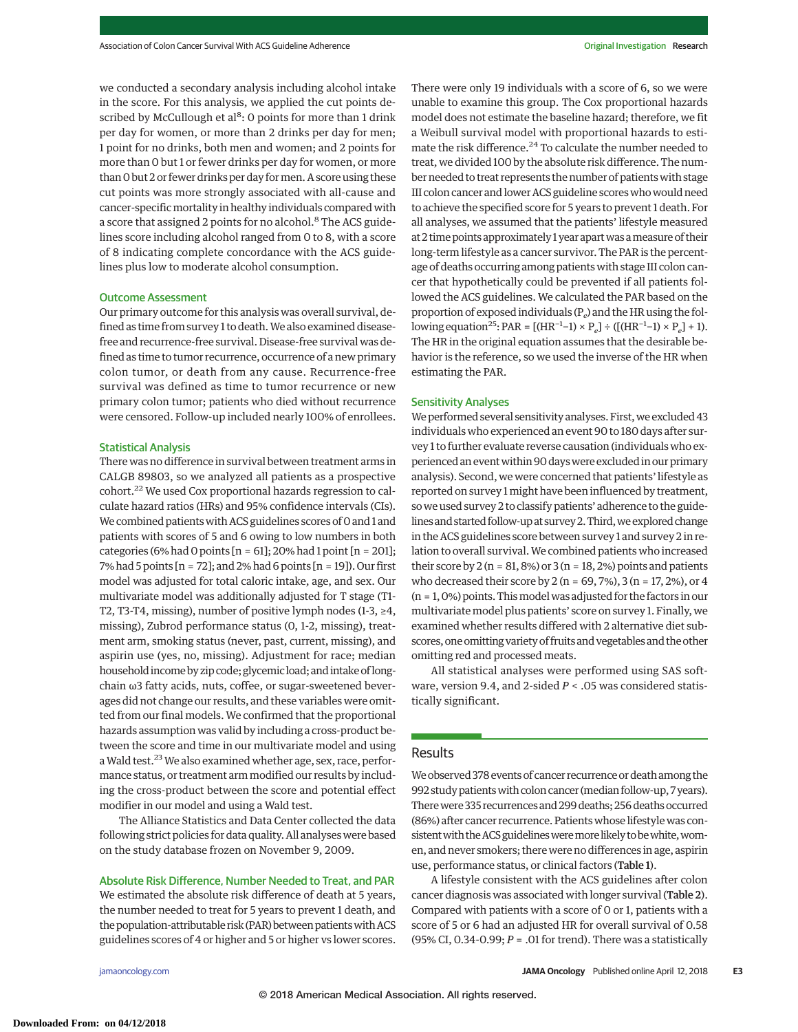we conducted a secondary analysis including alcohol intake in the score. For this analysis, we applied the cut points described by McCullough et al<sup>8</sup>: 0 points for more than 1 drink per day for women, or more than 2 drinks per day for men; 1 point for no drinks, both men and women; and 2 points for more than 0 but 1 or fewer drinks per day for women, or more than 0 but 2 or fewer drinks per day formen. A score using these cut points was more strongly associated with all-cause and cancer-specific mortality in healthy individuals compared with a score that assigned 2 points for no alcohol.<sup>8</sup> The ACS guidelines score including alcohol ranged from 0 to 8, with a score of 8 indicating complete concordance with the ACS guidelines plus low to moderate alcohol consumption.

#### Outcome Assessment

Our primary outcome for this analysis was overall survival, defined as time from survey 1 to death.We also examined diseasefree and recurrence-free survival. Disease-free survival was defined as time to tumor recurrence, occurrence of a new primary colon tumor, or death from any cause. Recurrence-free survival was defined as time to tumor recurrence or new primary colon tumor; patients who died without recurrence were censored. Follow-up included nearly 100% of enrollees.

### Statistical Analysis

There was no difference in survival between treatment arms in CALGB 89803, so we analyzed all patients as a prospective cohort.22 We used Cox proportional hazards regression to calculate hazard ratios (HRs) and 95% confidence intervals (CIs). We combined patientswith ACS guidelines scores of 0 and 1 and patients with scores of 5 and 6 owing to low numbers in both categories (6% had 0 points [n = 61]; 20% had 1 point [n = 201]; 7% had 5 points [n = 72]; and 2% had 6 points [n = 19]). Our first model was adjusted for total caloric intake, age, and sex. Our multivariate model was additionally adjusted for T stage (T1- T2, T3-T4, missing), number of positive lymph nodes (1-3, ≥4, missing), Zubrod performance status (0, 1-2, missing), treatment arm, smoking status (never, past, current, missing), and aspirin use (yes, no, missing). Adjustment for race; median household income by zipcode; glycemic load; and intake of longchain ω3 fatty acids, nuts, coffee, or sugar-sweetened beverages did not change our results, and these variables were omitted from our final models. We confirmed that the proportional hazards assumption was valid by including a cross-product between the score and time in our multivariate model and using a Wald test.<sup>23</sup> We also examined whether age, sex, race, performance status, or treatment armmodified our results by including the cross-product between the score and potential effect modifier in our model and using a Wald test.

The Alliance Statistics and Data Center collected the data following strict policies for data quality. All analyses were based on the study database frozen on November 9, 2009.

Absolute Risk Difference, Number Needed to Treat, and PAR We estimated the absolute risk difference of death at 5 years, the number needed to treat for 5 years to prevent 1 death, and the population-attributable risk (PAR) between patients with ACS guidelines scores of 4 or higher and 5 or higher vs lower scores.

There were only 19 individuals with a score of 6, so we were unable to examine this group. The Cox proportional hazards model does not estimate the baseline hazard; therefore, we fit a Weibull survival model with proportional hazards to estimate the risk difference.<sup>24</sup> To calculate the number needed to treat, we divided 100 by the absolute risk difference. The number needed to treat represents the number of patients with stage III colon cancer and lower ACS guideline scoreswhowould need to achieve the specified score for 5 years to prevent 1 death. For all analyses, we assumed that the patients' lifestyle measured at 2 time points approximately 1 year apart was a measure of their long-term lifestyle as a cancer survivor. The PAR is the percentage of deaths occurring among patients with stage III colon cancer that hypothetically could be prevented if all patients followed the ACS guidelines. We calculated the PAR based on the proportion of exposed individuals (P*e*) and the HR using the following equation<sup>25</sup>: PAR =  $[(HR^{-1}-1) \times P_e] \div ([(HR^{-1}-1) \times P_e] + 1)$ . The HR in the original equation assumes that the desirable be-

havior is the reference, so we used the inverse of the HR when

#### Sensitivity Analyses

estimating the PAR.

We performed several sensitivity analyses. First, we excluded 43 individuals who experienced an event 90 to 180 days after survey 1 to further evaluate reverse causation (individuals who experienced an event within 90 days were excluded in our primary analysis). Second, we were concerned that patients' lifestyle as reported on survey 1might have been influenced by treatment, so we used survey 2 to classify patients' adherence to the guidelines and started follow-up at survey 2. Third, we explored change in the ACS guidelines score between survey 1 and survey 2 in relation to overall survival. We combined patients who increased their score by  $2(n = 81, 8\%)$  or  $3(n = 18, 2\%)$  points and patients who decreased their score by 2 ( $n = 69, 7\%)$ , 3 ( $n = 17, 2\%)$ , or 4  $(n = 1, 0\%)$  points. This model was adjusted for the factors in our multivariatemodel plus patients' score on survey 1. Finally, we examined whether results differed with 2 alternative diet subscores, one omitting variety of fruits and vegetables and the other omitting red and processed meats.

All statistical analyses were performed using SAS software, version 9.4, and 2-sided *P* < .05 was considered statistically significant.

## **Results**

We observed 378 events of cancer recurrence or death among the 992 study patients with colon cancer (median follow-up, 7 years). There were 335 recurrences and 299 deaths; 256 deaths occurred (86%) after cancer recurrence. Patients whose lifestyle was consistent with the ACS guidelines were more likely to be white, women, and never smokers; there were no differences in age, aspirin use, performance status, or clinical factors (Table 1).

A lifestyle consistent with the ACS guidelines after colon cancer diagnosis was associated with longer survival (Table 2). Compared with patients with a score of 0 or 1, patients with a score of 5 or 6 had an adjusted HR for overall survival of 0.58 (95% CI, 0.34-0.99; *P* = .01 for trend). There was a statistically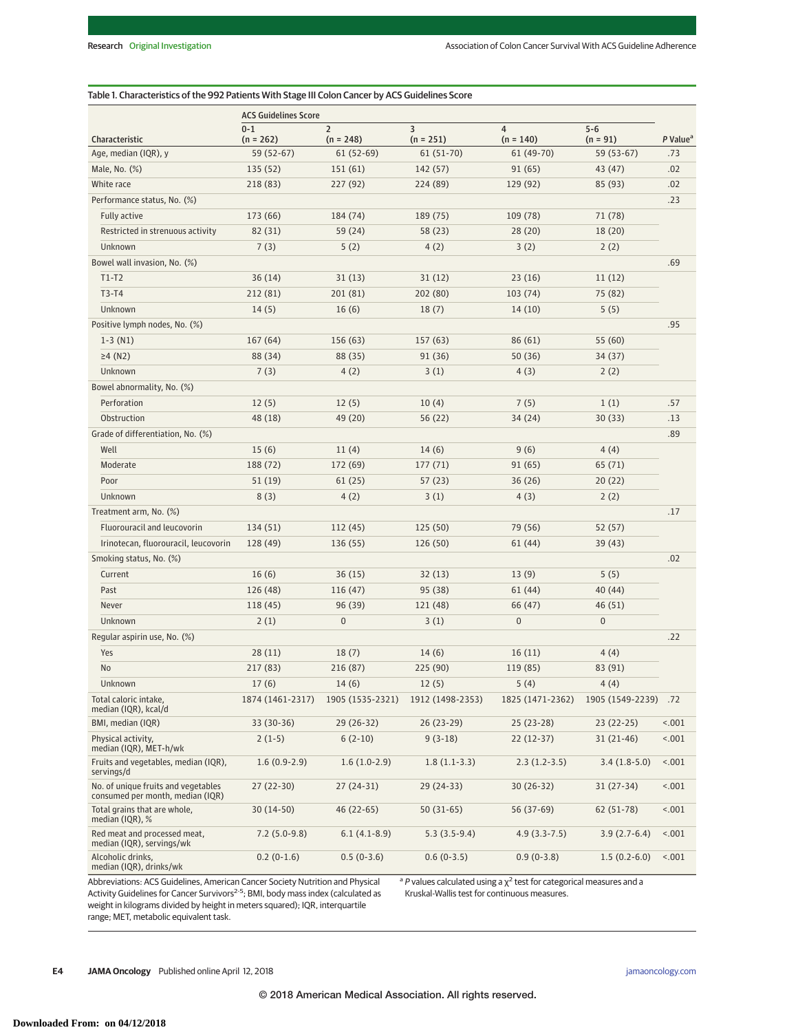## Table 1. Characteristics of the 992 Patients With Stage III Colon Cancer by ACS Guidelines Score

|                                                                         | <b>ACS Guidelines Score</b> |                                   |                               |                               |                       |                      |
|-------------------------------------------------------------------------|-----------------------------|-----------------------------------|-------------------------------|-------------------------------|-----------------------|----------------------|
| Characteristic                                                          | $0 - 1$<br>$(n = 262)$      | $\overline{2}$<br>$(n = 248)$     | $\overline{3}$<br>$(n = 251)$ | $\overline{4}$<br>$(n = 140)$ | $5 - 6$<br>$(n = 91)$ | P Value <sup>a</sup> |
| Age, median (IQR), y                                                    | 59 (52-67)                  | $61(52-69)$                       | $61(51-70)$                   | 61 (49-70)                    | 59 (53-67)            | .73                  |
| Male, No. (%)                                                           | 135 (52)                    | 151 (61)                          | 142 (57)                      | 91(65)                        | 43 (47)               | .02                  |
| White race                                                              | 218 (83)                    | 227 (92)                          | 224 (89)                      | 129 (92)                      | 85 (93)               | .02                  |
| Performance status, No. (%)                                             |                             |                                   |                               |                               |                       | .23                  |
| Fully active                                                            | 173 (66)                    | 184 (74)                          | 189 (75)                      | 109 (78)                      | 71 (78)               |                      |
| Restricted in strenuous activity                                        | 82 (31)                     | 59 (24)                           | 58 (23)                       | 28(20)                        | 18 (20)               |                      |
| Unknown                                                                 | 7(3)                        | 5(2)                              | 4(2)                          | 3(2)                          | 2(2)                  |                      |
| Bowel wall invasion, No. (%)                                            |                             |                                   |                               |                               |                       | .69                  |
| $T1-T2$                                                                 | 36(14)                      | 31(13)                            | 31(12)                        | 23(16)                        | 11(12)                |                      |
| $T3-T4$                                                                 | 212 (81)                    | 201 (81)                          | 202 (80)                      | 103 (74)                      | 75 (82)               |                      |
| Unknown                                                                 | 14(5)                       | 16(6)                             | 18(7)                         | 14(10)                        | 5(5)                  |                      |
| Positive lymph nodes, No. (%)                                           |                             |                                   |                               |                               |                       | .95                  |
| $1-3(N1)$                                                               | 167 (64)                    | 156 (63)                          | 157 (63)                      | 86(61)                        | 55 (60)               |                      |
| $\geq$ 4 (N2)                                                           | 88 (34)                     | 88 (35)                           | 91 (36)                       | 50 (36)                       | 34 (37)               |                      |
| Unknown                                                                 | 7(3)                        | 4(2)                              | 3(1)                          | 4(3)                          | 2(2)                  |                      |
| Bowel abnormality, No. (%)                                              |                             |                                   |                               |                               |                       |                      |
| Perforation                                                             | 12(5)                       | 12(5)                             | 10(4)                         | 7(5)                          | 1(1)                  | .57                  |
| Obstruction                                                             | 48 (18)                     | 49 (20)                           | 56 (22)                       | 34 (24)                       | 30(33)                | .13                  |
| Grade of differentiation, No. (%)                                       |                             |                                   |                               |                               |                       | .89                  |
| Well                                                                    | 15(6)                       | 11(4)                             | 14(6)                         | 9(6)                          | 4(4)                  |                      |
| Moderate                                                                | 188 (72)                    | 172 (69)                          | 177 (71)                      | 91 (65)                       | 65 (71)               |                      |
| Poor                                                                    | 51 (19)                     | 61(25)                            | 57(23)                        | 36(26)                        | 20(22)                |                      |
| Unknown                                                                 | 8(3)                        | 4(2)                              | 3(1)                          | 4(3)                          | 2(2)                  |                      |
| Treatment arm, No. (%)                                                  |                             |                                   |                               |                               |                       | .17                  |
| Fluorouracil and leucovorin                                             | 134 (51)                    | 112 (45)                          | 125 (50)                      | 79 (56)                       | 52 (57)               |                      |
| Irinotecan, fluorouracil, leucovorin                                    | 128 (49)                    | 136 (55)                          | 126 (50)                      | 61 (44)                       | 39(43)                |                      |
| Smoking status, No. (%)                                                 |                             |                                   |                               |                               |                       | .02                  |
| Current                                                                 | 16(6)                       | 36(15)                            | 32(13)                        | 13(9)                         | 5(5)                  |                      |
| Past                                                                    | 126 (48)                    | 116 (47)                          | 95 (38)                       | 61 (44)                       | 40 (44)               |                      |
| Never                                                                   | 118 (45)                    | 96 (39)                           | 121 (48)                      | 66 (47)                       | 46 (51)               |                      |
| Unknown                                                                 | 2(1)                        | $\pmb{0}$                         | 3(1)                          | $\boldsymbol{0}$              | $\bf 0$               |                      |
| Regular aspirin use, No. (%)                                            |                             |                                   |                               |                               |                       | .22                  |
| Yes                                                                     | 28(11)                      | 18(7)                             | 14(6)                         | 16(11)                        | 4(4)                  |                      |
| No                                                                      | 217 (83)                    | 216 (87)                          | 225 (90)                      | 119 (85)                      | 83 (91)               |                      |
| Unknown                                                                 | 17(6)                       | 14(6)                             | 12(5)                         | 5(4)                          | 4(4)                  |                      |
| Total caloric intake,<br>median (IQR), kcal/d                           |                             | 1874 (1461-2317) 1905 (1535-2321) | 1912 (1498-2353)              | 1825 (1471-2362)              | 1905 (1549-2239) .72  |                      |
| BMI, median (IQR)                                                       | 33 (30-36)                  | 29 (26-32)                        | 26 (23-29)                    | $25(23-28)$                   | $23(22-25)$           | < .001               |
| Physical activity,<br>median (IQR), MET-h/wk                            | $2(1-5)$                    | $6(2-10)$                         | $9(3-18)$                     | $22(12-37)$                   | $31(21-46)$           | 15.001               |
| Fruits and vegetables, median (IQR),<br>servings/d                      | $1.6(0.9-2.9)$              | $1.6(1.0-2.9)$                    | $1.8(1.1-3.3)$                | $2.3(1.2-3.5)$                | $3.4(1.8-5.0)$        | 15.001               |
| No. of unique fruits and vegetables<br>consumed per month, median (IQR) | $27(22-30)$                 | $27(24-31)$                       | 29 (24-33)                    | 30 (26-32)                    | $31(27-34)$           | 15.001               |
| Total grains that are whole,<br>median $(IQR)$ , %                      | $30(14-50)$                 | 46 (22-65)                        | 50 (31-65)                    | 56 (37-69)                    | 62 (51-78)            | 15.001               |
| Red meat and processed meat,<br>median (IQR), servings/wk               | $7.2(5.0-9.8)$              | $6.1(4.1-8.9)$                    | $5.3(3.5-9.4)$                | $4.9(3.3-7.5)$                | $3.9(2.7-6.4)$        | 15.001               |
| Alcoholic drinks,<br>median (IQR), drinks/wk                            | $0.2(0-1.6)$                | $0.5(0-3.6)$                      | $0.6(0-3.5)$                  | $0.9(0-3.8)$                  | $1.5(0.2-6.0)$        | 15.001               |

Abbreviations: ACS Guidelines, American Cancer Society Nutrition and Physical Activity Guidelines for Cancer Survivors<sup>2-5</sup>; BMI, body mass index (calculated as weight in kilograms divided by height in meters squared); IQR, interquartile range; MET, metabolic equivalent task.

<sup>a</sup> P values calculated using a  $\chi^2$  test for categorical measures and a Kruskal-Wallis test for continuous measures.

**E4 JAMA Oncology** Published online April 12, 2018 **(Reprinted)** [jamaoncology.com](http://www.jamaoncology.com/?utm_campaign=articlePDF%26utm_medium=articlePDFlink%26utm_source=articlePDF%26utm_content=jamaoncol.2018.0126)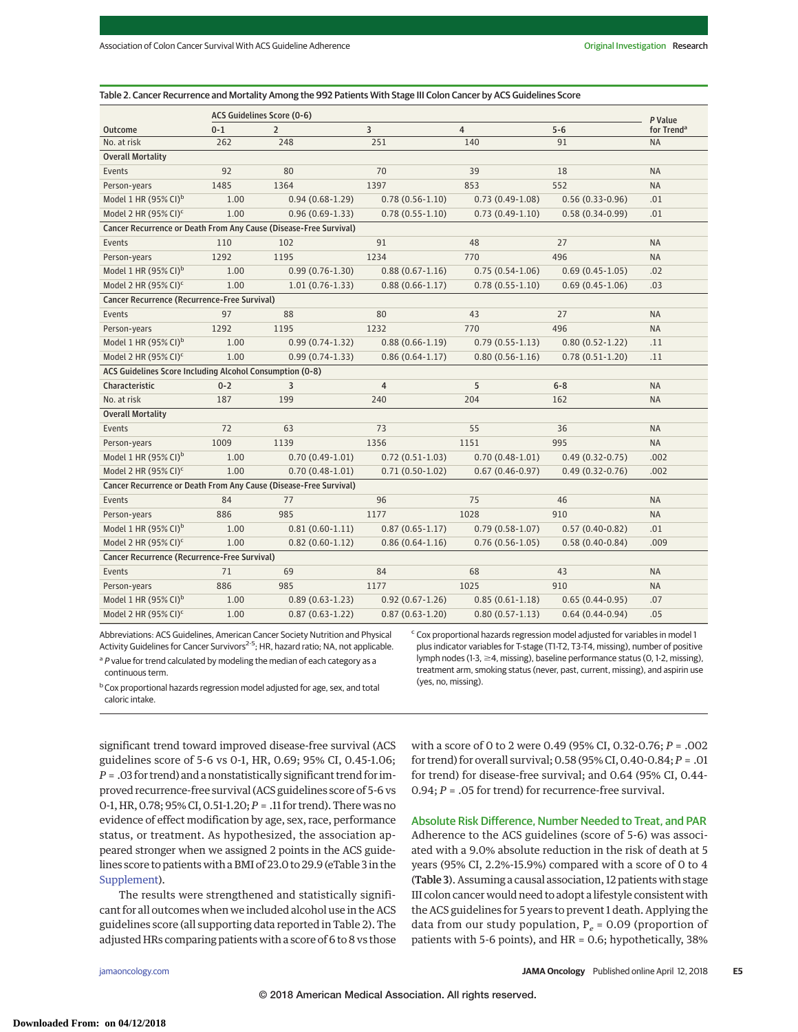Table 2. Cancer Recurrence and Mortality Among the 992 Patients With Stage III Colon Cancer by ACS Guidelines Score

|                                                                   | ACS Guidelines Score (0-6) |                     |                     |                     |                     | P Value                |  |
|-------------------------------------------------------------------|----------------------------|---------------------|---------------------|---------------------|---------------------|------------------------|--|
| Outcome                                                           | $0 - 1$                    | $\overline{2}$      | 3                   | 4                   | $5 - 6$             | for Trend <sup>a</sup> |  |
| No. at risk                                                       | 262                        | 248                 | 251                 | 140                 | 91                  | <b>NA</b>              |  |
| <b>Overall Mortality</b>                                          |                            |                     |                     |                     |                     |                        |  |
| Events                                                            | 92                         | 80                  | 70                  | 39                  | 18                  | <b>NA</b>              |  |
| Person-years                                                      | 1485                       | 1364                | 1397                | 853                 | 552                 | <b>NA</b>              |  |
| Model 1 HR (95% CI) <sup>b</sup>                                  | 1.00                       | $0.94(0.68-1.29)$   | $0.78(0.56 - 1.10)$ | $0.73(0.49-1.08)$   | $0.56(0.33 - 0.96)$ | .01                    |  |
| Model 2 HR (95% CI) <sup>c</sup>                                  | 1.00                       | $0.96(0.69-1.33)$   | $0.78(0.55 - 1.10)$ | $0.73(0.49-1.10)$   | $0.58(0.34-0.99)$   | .01                    |  |
| Cancer Recurrence or Death From Any Cause (Disease-Free Survival) |                            |                     |                     |                     |                     |                        |  |
| Events                                                            | 110                        | 102                 | 91                  | 48                  | 27                  | <b>NA</b>              |  |
| Person-years                                                      | 1292                       | 1195                | 1234                | 770                 | 496                 | <b>NA</b>              |  |
| Model 1 HR (95% CI) <sup>b</sup>                                  | 1.00                       | $0.99(0.76 - 1.30)$ | $0.88(0.67 - 1.16)$ | $0.75(0.54-1.06)$   | $0.69(0.45-1.05)$   | .02                    |  |
| Model 2 HR (95% CI) <sup>c</sup>                                  | 1.00                       | $1.01(0.76-1.33)$   | $0.88(0.66 - 1.17)$ | $0.78(0.55 - 1.10)$ | $0.69(0.45-1.06)$   | .03                    |  |
| Cancer Recurrence (Recurrence-Free Survival)                      |                            |                     |                     |                     |                     |                        |  |
| Events                                                            | 97                         | 88                  | 80                  | 43                  | 27                  | <b>NA</b>              |  |
| Person-years                                                      | 1292                       | 1195                | 1232                | 770                 | 496                 | <b>NA</b>              |  |
| Model 1 HR (95% CI) <sup>b</sup>                                  | 1.00                       | $0.99(0.74-1.32)$   | $0.88(0.66 - 1.19)$ | $0.79(0.55 - 1.13)$ | $0.80(0.52 - 1.22)$ | .11                    |  |
| Model 2 HR (95% CI) <sup>c</sup>                                  | 1.00                       | $0.99(0.74-1.33)$   | $0.86(0.64-1.17)$   | $0.80(0.56 - 1.16)$ | $0.78(0.51-1.20)$   | .11                    |  |
| ACS Guidelines Score Including Alcohol Consumption (0-8)          |                            |                     |                     |                     |                     |                        |  |
| Characteristic                                                    | $0 - 2$                    | 3                   | 4                   | 5                   | $6 - 8$             | <b>NA</b>              |  |
| No. at risk                                                       | 187                        | 199                 | 240                 | 204                 | 162                 | <b>NA</b>              |  |
| <b>Overall Mortality</b>                                          |                            |                     |                     |                     |                     |                        |  |
| Events                                                            | 72                         | 63                  | 73                  | 55                  | 36                  | <b>NA</b>              |  |
| Person-years                                                      | 1009                       | 1139                | 1356                | 1151                | 995                 | <b>NA</b>              |  |
| Model 1 HR (95% CI) <sup>b</sup>                                  | 1.00                       | $0.70(0.49-1.01)$   | $0.72(0.51-1.03)$   | $0.70(0.48-1.01)$   | $0.49(0.32 - 0.75)$ | .002                   |  |
| Model 2 HR (95% CI) <sup>c</sup>                                  | 1.00                       | $0.70(0.48-1.01)$   | $0.71(0.50-1.02)$   | $0.67(0.46-0.97)$   | $0.49(0.32 - 0.76)$ | .002                   |  |
| Cancer Recurrence or Death From Any Cause (Disease-Free Survival) |                            |                     |                     |                     |                     |                        |  |
| Events                                                            | 84                         | 77                  | 96                  | 75                  | 46                  | <b>NA</b>              |  |
| Person-years                                                      | 886                        | 985                 | 1177                | 1028                | 910                 | <b>NA</b>              |  |
| Model 1 HR (95% CI) <sup>b</sup>                                  | 1.00                       | $0.81(0.60-1.11)$   | $0.87(0.65 - 1.17)$ | $0.79(0.58-1.07)$   | $0.57(0.40-0.82)$   | .01                    |  |
| Model 2 HR (95% CI) <sup>c</sup>                                  | 1.00                       | $0.82(0.60-1.12)$   | $0.86(0.64-1.16)$   | $0.76(0.56 - 1.05)$ | $0.58(0.40-0.84)$   | .009                   |  |
| Cancer Recurrence (Recurrence-Free Survival)                      |                            |                     |                     |                     |                     |                        |  |
| Events                                                            | 71                         | 69                  | 84                  | 68                  | 43                  | <b>NA</b>              |  |
| Person-years                                                      | 886                        | 985                 | 1177                | 1025                | 910                 | <b>NA</b>              |  |
| Model 1 HR (95% CI) <sup>b</sup>                                  | 1.00                       | $0.89(0.63 - 1.23)$ | $0.92(0.67 - 1.26)$ | $0.85(0.61-1.18)$   | $0.65(0.44-0.95)$   | .07                    |  |
| Model 2 HR (95% CI) <sup>c</sup>                                  | 1.00                       | $0.87(0.63 - 1.22)$ | $0.87(0.63 - 1.20)$ | $0.80(0.57 - 1.13)$ | $0.64(0.44-0.94)$   | .05                    |  |

Abbreviations: ACS Guidelines, American Cancer Society Nutrition and Physical Activity Guidelines for Cancer Survivors<sup>2-5</sup>; HR, hazard ratio; NA, not applicable.

<sup>a</sup> P value for trend calculated by modeling the median of each category as a continuous term.

b Cox proportional hazards regression model adjusted for age, sex, and total caloric intake.

<sup>c</sup> Cox proportional hazards regression model adjusted for variables in model 1 plus indicator variables for T-stage (T1-T2, T3-T4, missing), number of positive lymph nodes (1-3, ≥4, missing), baseline performance status (0, 1-2, missing), treatment arm, smoking status (never, past, current, missing), and aspirin use (yes, no, missing).

significant trend toward improved disease-free survival (ACS guidelines score of 5-6 vs 0-1, HR, 0.69; 95% CI, 0.45-1.06; *P* = .03 for trend) and a nonstatistically significant trend for improved recurrence-free survival (ACS guidelines score of 5-6 vs 0-1, HR, 0.78; 95% CI, 0.51-1.20;*P* = .11 for trend). There was no evidence of effect modification by age, sex, race, performance status, or treatment. As hypothesized, the association appeared stronger when we assigned 2 points in the ACS guidelines score to patients with a BMI of 23.0 to 29.9 (eTable 3 in the [Supplement\)](https://jama.jamanetwork.com/article.aspx?doi=10.1001/jamaoncol.2018.0126&utm_campaign=articlePDF%26utm_medium=articlePDFlink%26utm_source=articlePDF%26utm_content=jamaoncol.2018.0126).

The results were strengthened and statistically significant for all outcomes when we included alcohol use in the ACS guidelines score (all supporting data reported in Table 2). The adjusted HRs comparing patients with a score of 6 to 8 vs those

with a score of 0 to 2 were 0.49 (95% CI, 0.32-0.76; *P* = .002 for trend) for overall survival; 0.58 (95% CI, 0.40-0.84; *P* = .01 for trend) for disease-free survival; and 0.64 (95% CI, 0.44- 0.94; *P* = .05 for trend) for recurrence-free survival.

Absolute Risk Difference, Number Needed to Treat, and PAR Adherence to the ACS guidelines (score of 5-6) was associated with a 9.0% absolute reduction in the risk of death at 5 years (95% CI, 2.2%-15.9%) compared with a score of 0 to 4 (Table 3). Assuming a causal association, 12 patients with stage III colon cancer would need to adopt a lifestyle consistent with the ACS guidelines for 5 years to prevent 1 death. Applying the data from our study population,  $P_e$  = 0.09 (proportion of patients with 5-6 points), and HR = 0.6; hypothetically, 38%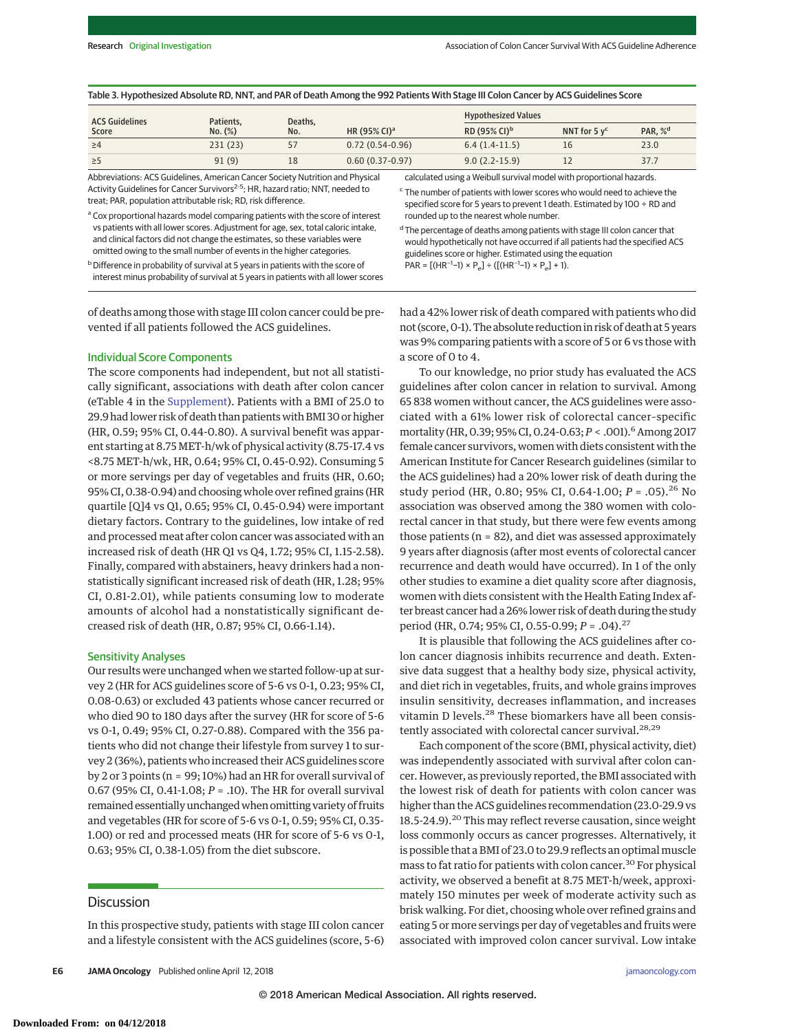#### Table 3. Hypothesized Absolute RD, NNT, and PAR of Death Among the 992 Patients With Stage III Colon Cancer by ACS Guidelines Score

| <b>ACS Guidelines</b><br>Score                                                                                                                        | Patients,<br>No. (%) | Deaths,<br>No. |                          | <b>Hypothesized Values</b> |                 |                       |  |
|-------------------------------------------------------------------------------------------------------------------------------------------------------|----------------------|----------------|--------------------------|----------------------------|-----------------|-----------------------|--|
|                                                                                                                                                       |                      |                | HR (95% CI) <sup>a</sup> | RD (95% CI) <sup>b</sup>   | NNT for 5 $v^c$ | PAR. $%$ <sup>d</sup> |  |
| $\geq 4$                                                                                                                                              | 231(23)              | 57             | $0.72(0.54-0.96)$        | $6.4(1.4-11.5)$            | 16              | 23.0                  |  |
| $\geq$ 5                                                                                                                                              | 91(9)                | 18             | $0.60(0.37-0.97)$        | $9.0(2.2 - 15.9)$          |                 | 37.7                  |  |
| calculated using a Weibull survival model with proportional hazards.<br>Abbreviations: ACS Guidelines, American Cancer Society Nutrition and Physical |                      |                |                          |                            |                 |                       |  |

Abbreviations: ACS Guidelines, American Cancer Society Nutrition and Physical Activity Guidelines for Cancer Survivors<sup>2-5</sup>; HR, hazard ratio; NNT, needed to treat; PAR, population attributable risk; RD, risk difference.

<sup>a</sup> Cox proportional hazards model comparing patients with the score of interest vs patients with all lower scores. Adjustment for age, sex, total caloric intake, and clinical factors did not change the estimates, so these variables were omitted owing to the small number of events in the higher categories.

**b** Difference in probability of survival at 5 years in patients with the score of interest minus probability of survival at 5 years in patients with all lower scores

> had a 42% lower risk of death compared with patients who did not (score, 0-1). The absolute reduction in risk of death at 5 years was 9% comparing patients with a score of 5 or 6 vs those with

<sup>c</sup> The number of patients with lower scores who would need to achieve the specified score for 5 years to prevent 1 death. Estimated by 100 ÷ RD and

<sup>d</sup> The percentage of deaths among patients with stage III colon cancer that would hypothetically not have occurred if all patients had the specified ACS

guidelines score or higher. Estimated using the equation PAR =  $[(HR^{-1}-1) \times P_e] \div ([(HR^{-1}-1) \times P_e] + 1)$ .

rounded up to the nearest whole number.

vented if all patients followed the ACS guidelines.

## Individual Score Components

The score components had independent, but not all statistically significant, associations with death after colon cancer (eTable 4 in the [Supplement\)](https://jama.jamanetwork.com/article.aspx?doi=10.1001/jamaoncol.2018.0126&utm_campaign=articlePDF%26utm_medium=articlePDFlink%26utm_source=articlePDF%26utm_content=jamaoncol.2018.0126). Patients with a BMI of 25.0 to 29.9 had lower risk of death than patients with BMI 30 or higher (HR, 0.59; 95% CI, 0.44-0.80). A survival benefit was apparent starting at 8.75 MET-h/wk of physical activity (8.75-17.4 vs <8.75 MET-h/wk, HR, 0.64; 95% CI, 0.45-0.92). Consuming 5 or more servings per day of vegetables and fruits (HR, 0.60; 95% CI, 0.38-0.94) and choosing whole over refined grains (HR quartile [Q]4 vs Q1, 0.65; 95% CI, 0.45-0.94) were important dietary factors. Contrary to the guidelines, low intake of red and processed meat after colon cancer was associated with an increased risk of death (HR Q1 vs Q4, 1.72; 95% CI, 1.15-2.58). Finally, compared with abstainers, heavy drinkers had a nonstatistically significant increased risk of death (HR, 1.28; 95% CI, 0.81-2.01), while patients consuming low to moderate amounts of alcohol had a nonstatistically significant decreased risk of death (HR, 0.87; 95% CI, 0.66-1.14).

## Sensitivity Analyses

Our results were unchanged when we started follow-up at survey 2 (HR for ACS guidelines score of 5-6 vs 0-1, 0.23; 95% CI, 0.08-0.63) or excluded 43 patients whose cancer recurred or who died 90 to 180 days after the survey (HR for score of 5-6 vs 0-1, 0.49; 95% CI, 0.27-0.88). Compared with the 356 patients who did not change their lifestyle from survey 1 to survey 2 (36%), patients who increased their ACS guidelines score by 2 or 3 points (n = 99; 10%) had an HR for overall survival of 0.67 (95% CI, 0.41-1.08; *P* = .10). The HR for overall survival remained essentially unchangedwhen omitting variety of fruits and vegetables (HR for score of 5-6 vs 0-1, 0.59; 95% CI, 0.35- 1.00) or red and processed meats (HR for score of 5-6 vs 0-1, 0.63; 95% CI, 0.38-1.05) from the diet subscore.

# Discussion

In this prospective study, patients with stage III colon cancer and a lifestyle consistent with the ACS guidelines (score, 5-6)

of deaths among those with stage III colon cancer could be prea score of 0 to 4.

To our knowledge, no prior study has evaluated the ACS guidelines after colon cancer in relation to survival. Among 65 838 women without cancer, the ACS guidelines were associated with a 61% lower risk of colorectal cancer–specific mortality (HR, 0.39; 95% CI, 0.24-0.63; P < .001).<sup>6</sup> Among 2017 female cancer survivors, women with diets consistent with the American Institute for Cancer Research guidelines (similar to the ACS guidelines) had a 20% lower risk of death during the study period (HR, 0.80; 95% CI, 0.64-1.00; *P* = .05).<sup>26</sup> No association was observed among the 380 women with colorectal cancer in that study, but there were few events among those patients ( $n = 82$ ), and diet was assessed approximately 9 years after diagnosis (after most events of colorectal cancer recurrence and death would have occurred). In 1 of the only other studies to examine a diet quality score after diagnosis, women with diets consistent with the Health Eating Index after breast cancer had a 26% lower risk of death during the study period (HR, 0.74; 95% CI, 0.55-0.99; *P* = .04).<sup>27</sup>

It is plausible that following the ACS guidelines after colon cancer diagnosis inhibits recurrence and death. Extensive data suggest that a healthy body size, physical activity, and diet rich in vegetables, fruits, and whole grains improves insulin sensitivity, decreases inflammation, and increases vitamin D levels.<sup>28</sup> These biomarkers have all been consistently associated with colorectal cancer survival.<sup>28,29</sup>

Each component of the score (BMI, physical activity, diet) was independently associated with survival after colon cancer. However, as previously reported, the BMI associated with the lowest risk of death for patients with colon cancer was higher than the ACS guidelines recommendation (23.0-29.9 vs 18.5-24.9).<sup>20</sup> This may reflect reverse causation, since weight loss commonly occurs as cancer progresses. Alternatively, it is possible that a BMI of 23.0 to 29.9 reflects an optimal muscle mass to fat ratio for patients with colon cancer.<sup>30</sup> For physical activity, we observed a benefit at 8.75 MET-h/week, approximately 150 minutes per week of moderate activity such as brisk walking. For diet, choosing whole over refined grains and eating 5 or more servings per day of vegetables and fruits were associated with improved colon cancer survival. Low intake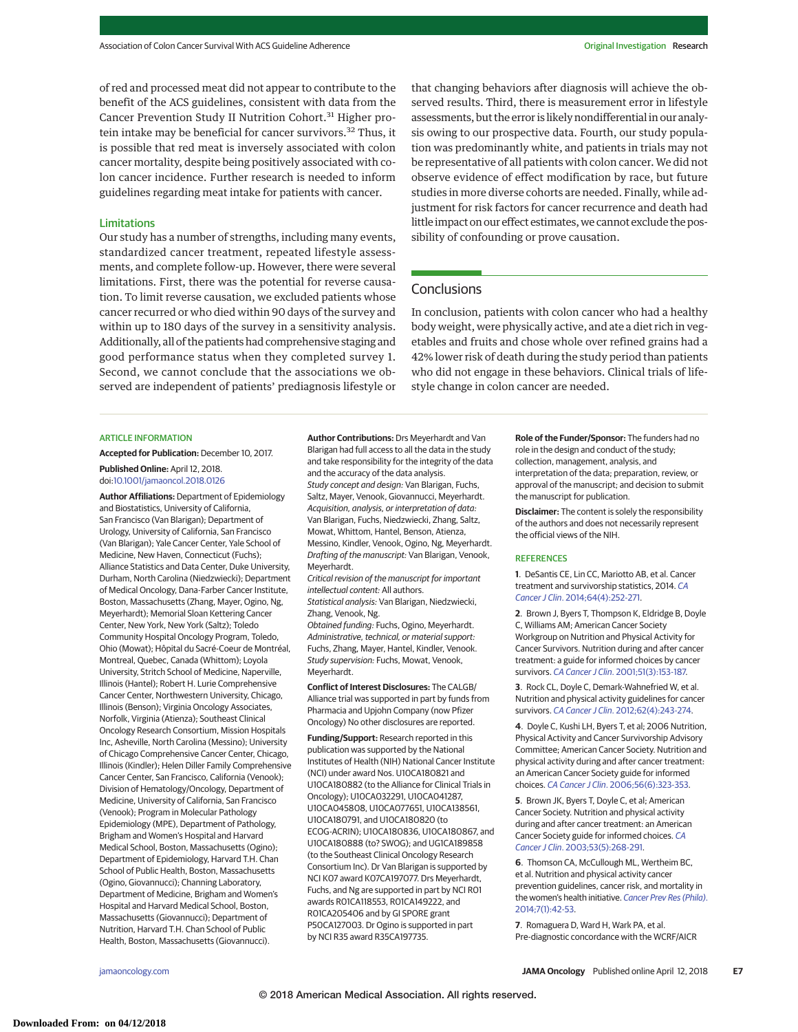of red and processed meat did not appear to contribute to the benefit of the ACS guidelines, consistent with data from the Cancer Prevention Study II Nutrition Cohort.<sup>31</sup> Higher protein intake may be beneficial for cancer survivors.<sup>32</sup> Thus, it is possible that red meat is inversely associated with colon cancer mortality, despite being positively associated with colon cancer incidence. Further research is needed to inform guidelines regarding meat intake for patients with cancer.

## Limitations

Our study has a number of strengths, including many events, standardized cancer treatment, repeated lifestyle assessments, and complete follow-up. However, there were several limitations. First, there was the potential for reverse causation. To limit reverse causation, we excluded patients whose cancer recurred or who died within 90 days of the survey and within up to 180 days of the survey in a sensitivity analysis. Additionally, all of the patients had comprehensive staging and good performance status when they completed survey 1. Second, we cannot conclude that the associations we observed are independent of patients' prediagnosis lifestyle or that changing behaviors after diagnosis will achieve the observed results. Third, there is measurement error in lifestyle assessments, but the error is likely nondifferential in our analysis owing to our prospective data. Fourth, our study population was predominantly white, and patients in trials may not be representative of all patients with colon cancer. We did not observe evidence of effect modification by race, but future studies in more diverse cohorts are needed. Finally, while adjustment for risk factors for cancer recurrence and death had little impact on our effect estimates, we cannot exclude the possibility of confounding or prove causation.

# Conclusions

In conclusion, patients with colon cancer who had a healthy body weight, were physically active, and ate a diet rich in vegetables and fruits and chose whole over refined grains had a 42% lower risk of death during the study period than patients who did not engage in these behaviors. Clinical trials of lifestyle change in colon cancer are needed.

## ARTICLE INFORMATION

**Accepted for Publication:** December 10, 2017. **Published Online:** April 12, 2018. doi[:10.1001/jamaoncol.2018.0126](https://jama.jamanetwork.com/article.aspx?doi=10.1001/jamaoncol.2018.0126&utm_campaign=articlePDF%26utm_medium=articlePDFlink%26utm_source=articlePDF%26utm_content=jamaoncol.2018.0126)

**Author Affiliations:** Department of Epidemiology and Biostatistics, University of California, San Francisco (Van Blarigan); Department of Urology, University of California, San Francisco (Van Blarigan); Yale Cancer Center, Yale School of Medicine, New Haven, Connecticut (Fuchs); Alliance Statistics and Data Center, Duke University, Durham, North Carolina (Niedzwiecki); Department of Medical Oncology, Dana-Farber Cancer Institute, Boston, Massachusetts (Zhang, Mayer, Ogino, Ng, Meyerhardt); Memorial Sloan Kettering Cancer Center, New York, New York (Saltz); Toledo Community Hospital Oncology Program, Toledo, Ohio (Mowat); Hôpital du Sacré-Coeur de Montréal, Montreal, Quebec, Canada (Whittom); Loyola University, Stritch School of Medicine, Naperville, Illinois (Hantel); Robert H. Lurie Comprehensive Cancer Center, Northwestern University, Chicago, Illinois (Benson); Virginia Oncology Associates, Norfolk, Virginia (Atienza); Southeast Clinical Oncology Research Consortium, Mission Hospitals Inc, Asheville, North Carolina (Messino); University of Chicago Comprehensive Cancer Center, Chicago, Illinois (Kindler); Helen Diller Family Comprehensive Cancer Center, San Francisco, California (Venook); Division of Hematology/Oncology, Department of Medicine, University of California, San Francisco (Venook); Program in Molecular Pathology Epidemiology (MPE), Department of Pathology, Brigham and Women's Hospital and Harvard Medical School, Boston, Massachusetts (Ogino); Department of Epidemiology, Harvard T.H. Chan School of Public Health, Boston, Massachusetts (Ogino, Giovannucci); Channing Laboratory, Department of Medicine, Brigham and Women's Hospital and Harvard Medical School, Boston, Massachusetts (Giovannucci); Department of Nutrition, Harvard T.H. Chan School of Public Health, Boston, Massachusetts (Giovannucci).

**Author Contributions:** Drs Meyerhardt and Van Blarigan had full access to all the data in the study and take responsibility for the integrity of the data and the accuracy of the data analysis. Study concept and design: Van Blarigan, Fuchs, Saltz, Mayer, Venook, Giovannucci, Meyerhardt. Acquisition, analysis, or interpretation of data: Van Blarigan, Fuchs, Niedzwiecki, Zhang, Saltz, Mowat, Whittom, Hantel, Benson, Atienza, Messino, Kindler, Venook, Ogino, Ng, Meyerhardt. Drafting of the manuscript: Van Blarigan, Venook, Meyerhardt.

Critical revision of the manuscript for important intellectual content: All authors.

Statistical analysis: Van Blarigan, Niedzwiecki, Zhang, Venook, Ng.

Obtained funding: Fuchs, Ogino, Meyerhardt. Administrative, technical, or material support: Fuchs, Zhang, Mayer, Hantel, Kindler, Venook. Study supervision: Fuchs, Mowat, Venook, Meyerhardt.

**Conflict of Interest Disclosures:** The CALGB/ Alliance trial was supported in part by funds from Pharmacia and Upjohn Company (now Pfizer Oncology) No other disclosures are reported.

**Funding/Support:** Research reported in this publication was supported by the National Institutes of Health (NIH) National Cancer Institute (NCI) under award Nos. U10CA180821 and U10CA180882 (to the Alliance for Clinical Trials in Oncology); U10CA032291, U10CA041287, U10CA045808, U10CA077651, U10CA138561, U10CA180791, and U10CA180820 (to ECOG-ACRIN); U10CA180836, U10CA180867, and U10CA180888 (to? SWOG); and UG1CA189858 (to the Southeast Clinical Oncology Research Consortium Inc). Dr Van Blarigan is supported by NCI K07 award K07CA197077. Drs Meyerhardt, Fuchs, and Ng are supported in part by NCI R01 awards R01CA118553, R01CA149222, and R01CA205406 and by GI SPORE grant P50CA127003. Dr Ogino is supported in part by NCI R35 award R35CA197735.

**Role of the Funder/Sponsor:** The funders had no role in the design and conduct of the study; collection, management, analysis, and interpretation of the data; preparation, review, or approval of the manuscript; and decision to submit the manuscript for publication.

**Disclaimer:** The content is solely the responsibility of the authors and does not necessarily represent the official views of the NIH.

#### **REFERENCES**

**1**. DeSantis CE, Lin CC, Mariotto AB, et al. Cancer treatment and survivorship statistics, 2014. [CA](https://www.ncbi.nlm.nih.gov/pubmed/24890451) Cancer J Clin[. 2014;64\(4\):252-271.](https://www.ncbi.nlm.nih.gov/pubmed/24890451)

**2**. Brown J, Byers T, Thompson K, Eldridge B, Doyle C, Williams AM; American Cancer Society Workgroup on Nutrition and Physical Activity for Cancer Survivors. Nutrition during and after cancer treatment: a guide for informed choices by cancer survivors. CA Cancer J Clin[. 2001;51\(3\):153-187.](https://www.ncbi.nlm.nih.gov/pubmed/11577495)

**3**. Rock CL, Doyle C, Demark-Wahnefried W, et al. Nutrition and physical activity guidelines for cancer survivors. CA Cancer J Clin[. 2012;62\(4\):243-274.](https://www.ncbi.nlm.nih.gov/pubmed/22539238)

**4**. Doyle C, Kushi LH, Byers T, et al; 2006 Nutrition, Physical Activity and Cancer Survivorship Advisory Committee; American Cancer Society. Nutrition and physical activity during and after cancer treatment: an American Cancer Society guide for informed choices. CA Cancer J Clin[. 2006;56\(6\):323-353.](https://www.ncbi.nlm.nih.gov/pubmed/17135691)

**5**. Brown JK, Byers T, Doyle C, et al; American Cancer Society. Nutrition and physical activity during and after cancer treatment: an American Cancer Society guide for informed choices. [CA](https://www.ncbi.nlm.nih.gov/pubmed/14570227) Cancer J Clin[. 2003;53\(5\):268-291.](https://www.ncbi.nlm.nih.gov/pubmed/14570227)

**6**. Thomson CA, McCullough ML, Wertheim BC, et al. Nutrition and physical activity cancer prevention guidelines, cancer risk, and mortality in the women's health initiative. [Cancer Prev Res \(Phila\)](https://www.ncbi.nlm.nih.gov/pubmed/24403289). [2014;7\(1\):42-53.](https://www.ncbi.nlm.nih.gov/pubmed/24403289)

**7**. Romaguera D, Ward H, Wark PA, et al. Pre-diagnostic concordance with the WCRF/AICR